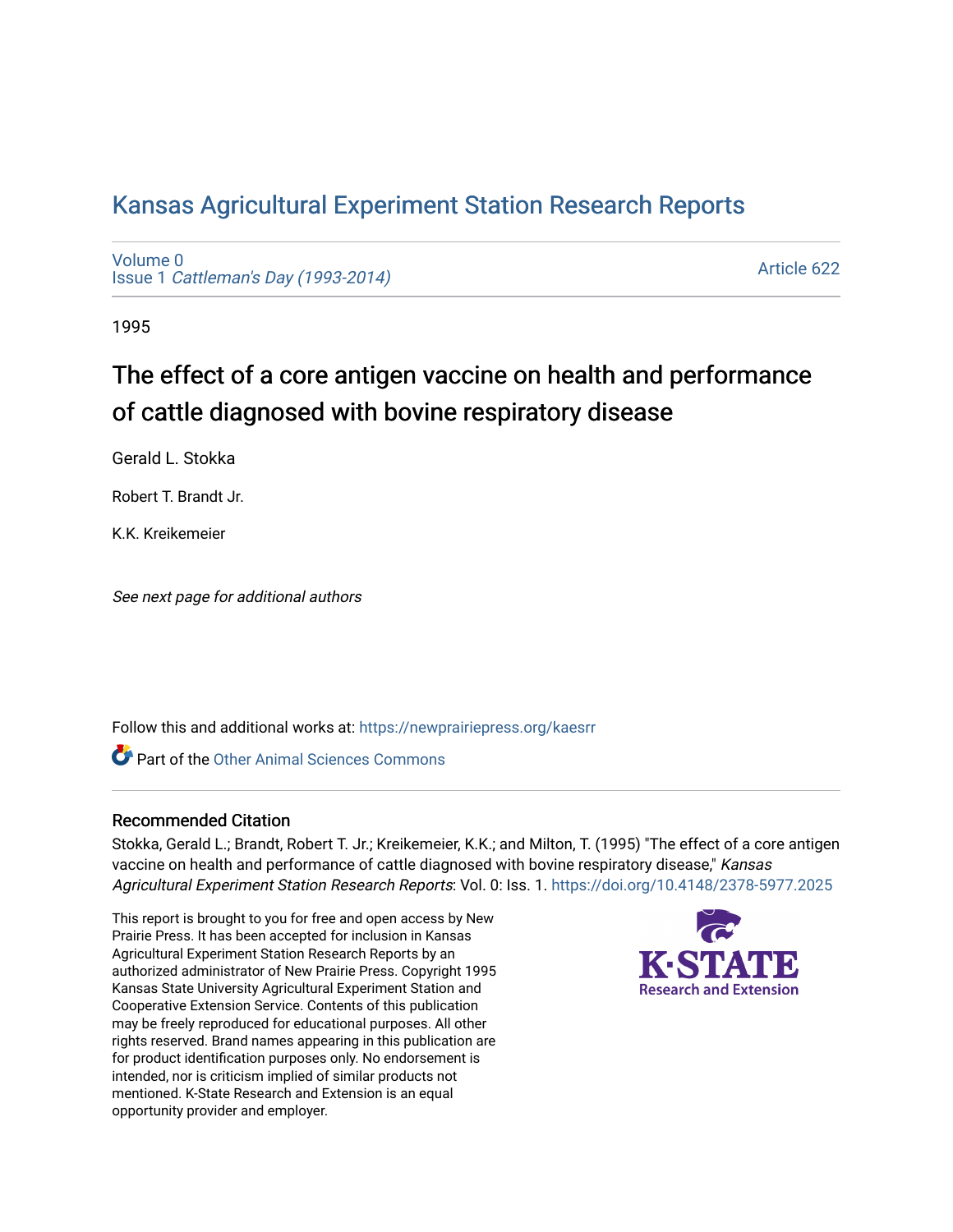## [Kansas Agricultural Experiment Station Research Reports](https://newprairiepress.org/kaesrr)

[Volume 0](https://newprairiepress.org/kaesrr/vol0) Issue 1 [Cattleman's Day \(1993-2014\)](https://newprairiepress.org/kaesrr/vol0/iss1) 

[Article 622](https://newprairiepress.org/kaesrr/vol0/iss1/622) 

1995

# The effect of a core antigen vaccine on health and performance of cattle diagnosed with bovine respiratory disease

Gerald L. Stokka

Robert T. Brandt Jr.

K.K. Kreikemeier

See next page for additional authors

Follow this and additional works at: [https://newprairiepress.org/kaesrr](https://newprairiepress.org/kaesrr?utm_source=newprairiepress.org%2Fkaesrr%2Fvol0%2Fiss1%2F622&utm_medium=PDF&utm_campaign=PDFCoverPages) 

**C** Part of the [Other Animal Sciences Commons](http://network.bepress.com/hgg/discipline/82?utm_source=newprairiepress.org%2Fkaesrr%2Fvol0%2Fiss1%2F622&utm_medium=PDF&utm_campaign=PDFCoverPages)

#### Recommended Citation

Stokka, Gerald L.; Brandt, Robert T. Jr.; Kreikemeier, K.K.; and Milton, T. (1995) "The effect of a core antigen vaccine on health and performance of cattle diagnosed with bovine respiratory disease," Kansas Agricultural Experiment Station Research Reports: Vol. 0: Iss. 1.<https://doi.org/10.4148/2378-5977.2025>

This report is brought to you for free and open access by New Prairie Press. It has been accepted for inclusion in Kansas Agricultural Experiment Station Research Reports by an authorized administrator of New Prairie Press. Copyright 1995 Kansas State University Agricultural Experiment Station and Cooperative Extension Service. Contents of this publication may be freely reproduced for educational purposes. All other rights reserved. Brand names appearing in this publication are for product identification purposes only. No endorsement is intended, nor is criticism implied of similar products not mentioned. K-State Research and Extension is an equal opportunity provider and employer.

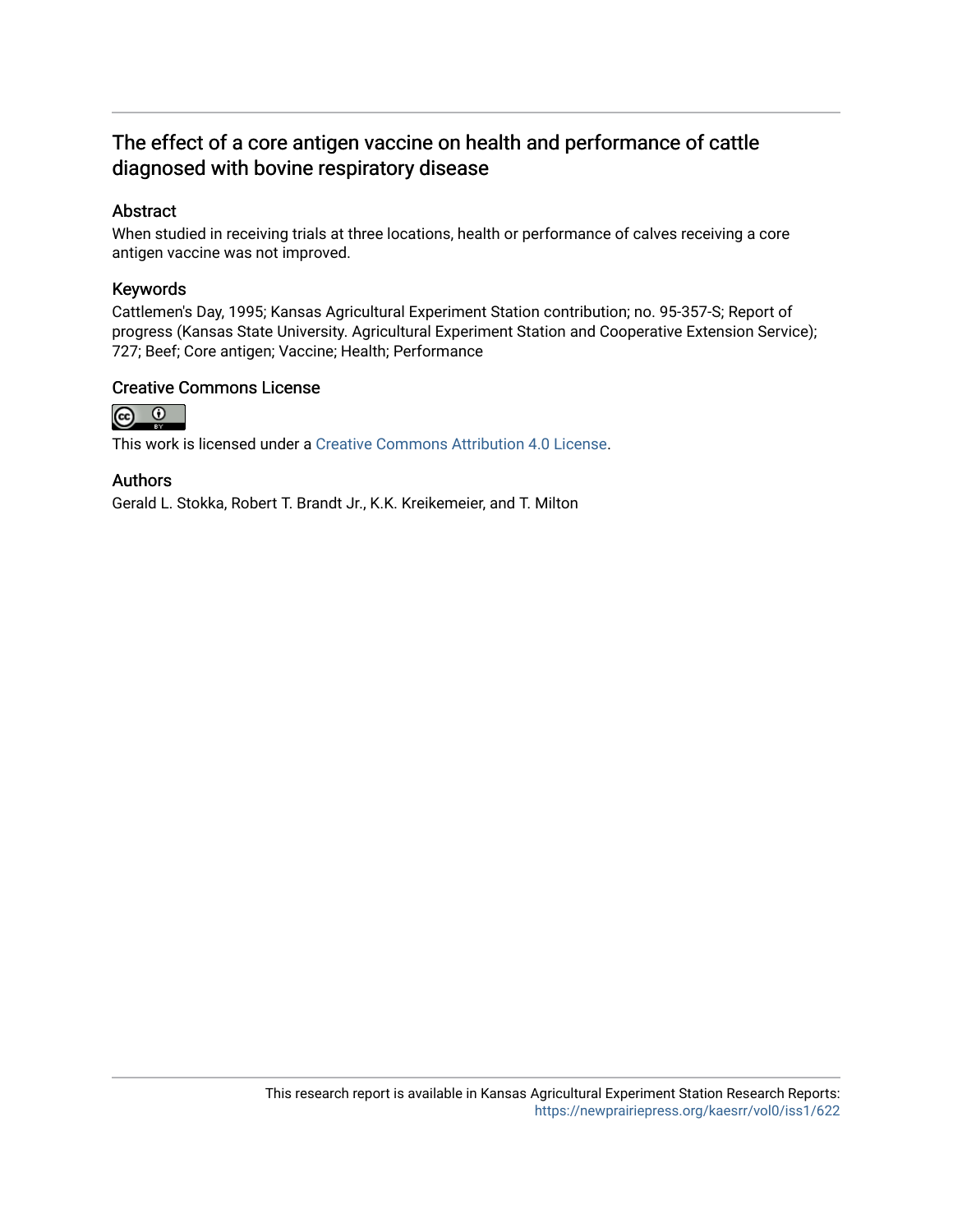### The effect of a core antigen vaccine on health and performance of cattle diagnosed with bovine respiratory disease

#### Abstract

When studied in receiving trials at three locations, health or performance of calves receiving a core antigen vaccine was not improved.

#### Keywords

Cattlemen's Day, 1995; Kansas Agricultural Experiment Station contribution; no. 95-357-S; Report of progress (Kansas State University. Agricultural Experiment Station and Cooperative Extension Service); 727; Beef; Core antigen; Vaccine; Health; Performance

#### Creative Commons License



This work is licensed under a [Creative Commons Attribution 4.0 License](https://creativecommons.org/licenses/by/4.0/).

#### Authors

Gerald L. Stokka, Robert T. Brandt Jr., K.K. Kreikemeier, and T. Milton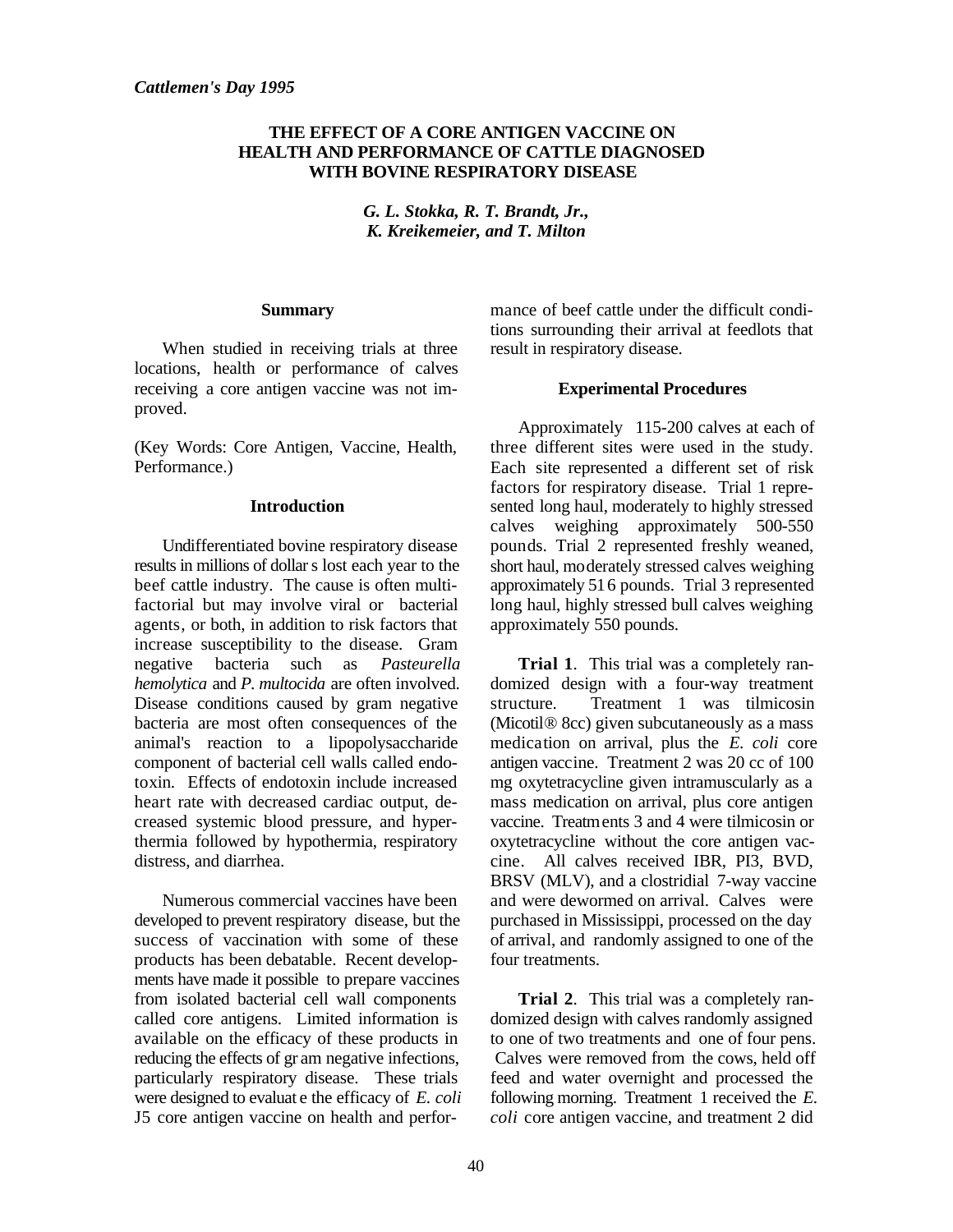#### **THE EFFECT OF A CORE ANTIGEN VACCINE ON HEALTH AND PERFORMANCE OF CATTLE DIAGNOSED WITH BOVINE RESPIRATORY DISEASE**

*G. L. Stokka, R. T. Brandt, Jr., K. Kreikemeier, and T. Milton*

#### **Summary**

When studied in receiving trials at three locations, health or performance of calves receiving a core antigen vaccine was not improved.

(Key Words: Core Antigen, Vaccine, Health, Performance.)

#### **Introduction**

Undifferentiated bovine respiratory disease results in millions of dollar s lost each year to the beef cattle industry. The cause is often multifactorial but may involve viral or bacterial agents, or both, in addition to risk factors that increase susceptibility to the disease. Gram negative bacteria such as *Pasteurella hemolytica* and *P. multocida* are often involved. Disease conditions caused by gram negative bacteria are most often consequences of the animal's reaction to a lipopolysaccharide component of bacterial cell walls called endotoxin. Effects of endotoxin include increased heart rate with decreased cardiac output, decreased systemic blood pressure, and hyperthermia followed by hypothermia, respiratory distress, and diarrhea.

Numerous commercial vaccines have been developed to prevent respiratory disease, but the success of vaccination with some of these products has been debatable. Recent developments have made it possible to prepare vaccines from isolated bacterial cell wall components called core antigens. Limited information is available on the efficacy of these products in reducing the effects of gr am negative infections, particularly respiratory disease. These trials were designed to evaluat e the efficacy of *E. coli* J5 core antigen vaccine on health and performance of beef cattle under the difficult conditions surrounding their arrival at feedlots that result in respiratory disease.

#### **Experimental Procedures**

Approximately 115-200 calves at each of three different sites were used in the study. Each site represented a different set of risk factors for respiratory disease. Trial 1 represented long haul, moderately to highly stressed calves weighing approximately 500-550 pounds. Trial 2 represented freshly weaned, short haul, moderately stressed calves weighing approximately 516 pounds. Trial 3 represented long haul, highly stressed bull calves weighing approximately 550 pounds.

**Trial 1**. This trial was a completely randomized design with a four-way treatment structure. Treatment 1 was tilmicosin (Micotil® 8cc) given subcutaneously as a mass medication on arrival, plus the *E. coli* core antigen vaccine. Treatment 2 was 20 cc of 100 mg oxytetracycline given intramuscularly as a mass medication on arrival, plus core antigen vaccine. Treatments 3 and 4 were tilmicosin or oxytetracycline without the core antigen vaccine. All calves received IBR, PI3, BVD, BRSV (MLV), and a clostridial 7-way vaccine and were dewormed on arrival. Calves were purchased in Mississippi, processed on the day of arrival, and randomly assigned to one of the four treatments.

**Trial 2**. This trial was a completely randomized design with calves randomly assigned to one of two treatments and one of four pens. Calves were removed from the cows, held off feed and water overnight and processed the following morning. Treatment 1 received the *E. coli* core antigen vaccine, and treatment 2 did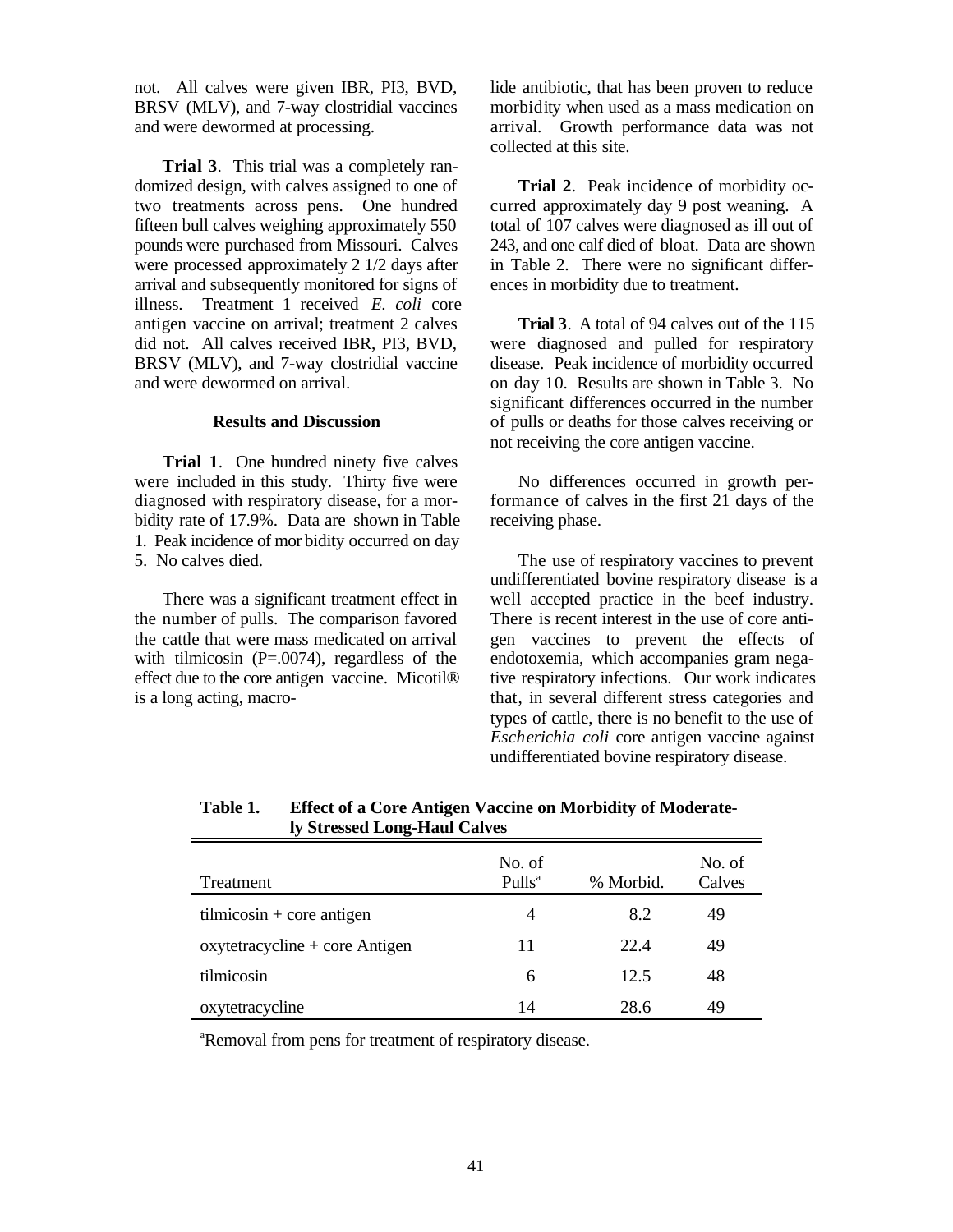not. All calves were given IBR, PI3, BVD, BRSV (MLV), and 7-way clostridial vaccines and were dewormed at processing.

**Trial 3**. This trial was a completely randomized design, with calves assigned to one of two treatments across pens. One hundred fifteen bull calves weighing approximately 550 pounds were purchased from Missouri. Calves were processed approximately 2 1/2 days after arrival and subsequently monitored for signs of illness. Treatment 1 received *E. coli* core antigen vaccine on arrival; treatment 2 calves did not. All calves received IBR, PI3, BVD, BRSV (MLV), and 7-way clostridial vaccine and were dewormed on arrival.

#### **Results and Discussion**

**Trial 1**. One hundred ninety five calves were included in this study. Thirty five were diagnosed with respiratory disease, for a morbidity rate of 17.9%. Data are shown in Table 1. Peak incidence of mor bidity occurred on day 5. No calves died.

There was a significant treatment effect in the number of pulls. The comparison favored the cattle that were mass medicated on arrival with tilmicosin (P=.0074), regardless of the effect due to the core antigen vaccine. Micotil® is a long acting, macrolide antibiotic, that has been proven to reduce morbidity when used as a mass medication on arrival. Growth performance data was not collected at this site.

**Trial 2**. Peak incidence of morbidity occurred approximately day 9 post weaning. A total of 107 calves were diagnosed as ill out of 243, and one calf died of bloat. Data are shown in Table 2. There were no significant differences in morbidity due to treatment.

**Trial 3**. A total of 94 calves out of the 115 were diagnosed and pulled for respiratory disease. Peak incidence of morbidity occurred on day 10. Results are shown in Table 3. No significant differences occurred in the number of pulls or deaths for those calves receiving or not receiving the core antigen vaccine.

No differences occurred in growth performance of calves in the first 21 days of the receiving phase.

The use of respiratory vaccines to prevent undifferentiated bovine respiratory disease is a well accepted practice in the beef industry. There is recent interest in the use of core antigen vaccines to prevent the effects of endotoxemia, which accompanies gram negative respiratory infections. Our work indicates that, in several different stress categories and types of cattle, there is no benefit to the use of *Escherichia coli* core antigen vaccine against undifferentiated bovine respiratory disease.

| IV Stressed Long-Haul Calves     |                              |           |                  |  |
|----------------------------------|------------------------------|-----------|------------------|--|
| Treatment                        | No. of<br>Pulls <sup>a</sup> | % Morbid. | No. of<br>Calves |  |
| $tilm -$ core antigen            | 4                            | 8.2       | 49               |  |
| $oxytetracycline + core Antigen$ | 11                           | 22.4      | 49               |  |
| tilmicosin                       | 6                            | 12.5      | 48               |  |
| oxytetracycline                  | 14                           | 28.6      | 49               |  |

**Table 1. Effect of a Core Antigen Vaccine on Morbidity of Moderately Stressed Long-Haul Calves**

<sup>a</sup>Removal from pens for treatment of respiratory disease.